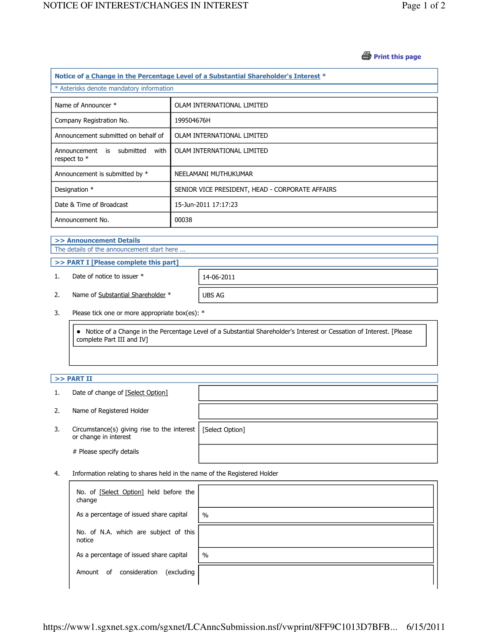### *S* Print this page

| Notice of a Change in the Percentage Level of a Substantial Shareholder's Interest * |                                                 |  |  |  |
|--------------------------------------------------------------------------------------|-------------------------------------------------|--|--|--|
| * Asterisks denote mandatory information                                             |                                                 |  |  |  |
| Name of Announcer *                                                                  | OLAM INTERNATIONAL LIMITED                      |  |  |  |
| Company Registration No.                                                             | 199504676H                                      |  |  |  |
| Announcement submitted on behalf of                                                  | OLAM INTERNATIONAL LIMITED                      |  |  |  |
| submitted<br>with<br>Announcement<br>is<br>respect to $*$                            | OLAM INTERNATIONAL LIMITED                      |  |  |  |
| Announcement is submitted by *                                                       | NEELAMANI MUTHUKUMAR                            |  |  |  |
| Designation *                                                                        | SENIOR VICE PRESIDENT, HEAD - CORPORATE AFFAIRS |  |  |  |
| Date & Time of Broadcast                                                             | 15-Jun-2011 17:17:23                            |  |  |  |
| Announcement No.                                                                     | 00038                                           |  |  |  |
|                                                                                      |                                                 |  |  |  |

#### >> Announcement Details The details of the announcement start here ...

## >> PART I [Please complete this part]

1. Date of notice to issuer \* 14-06-2011

2. Name of Substantial Shareholder \* UBS AG

3. Please tick one or more appropriate box(es): \*

 Notice of a Change in the Percentage Level of a Substantial Shareholder's Interest or Cessation of Interest. [Please complete Part III and IV]

# $>>$  PART II

- 1. Date of change of [Select Option]
- 2. Name of Registered Holder
- 3. Circumstance(s) giving rise to the interest [Select Option] or change in interest

# Please specify details

4. Information relating to shares held in the name of the Registered Holder

| No. of [Select Option] held before the<br>change |               |
|--------------------------------------------------|---------------|
| As a percentage of issued share capital          | $\frac{0}{0}$ |
| No. of N.A. which are subject of this<br>notice  |               |
| As a percentage of issued share capital          | $\frac{0}{0}$ |
| consideration<br>(excluding<br>0f<br>Amount      |               |